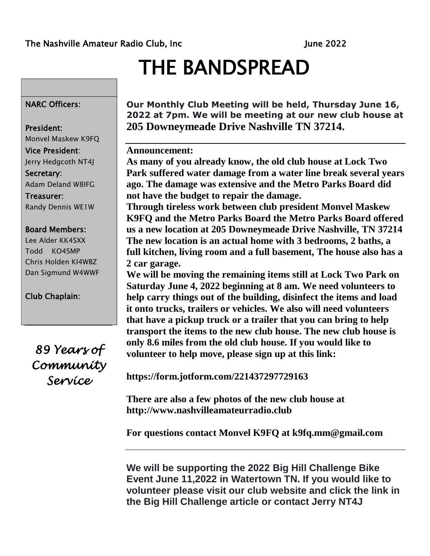# THE BANDSPREAD

### NARC Officers:

### President:

Monvel Maskew K9FQ Vice President: Jerry Hedgcoth NT4J Secretary: Adam Deland W8IFG Treasurer: Randy Dennis WE1W

#### Board Members:

Lee Alder KK4SXX Todd KO4SMP Chris Holden KI4WBZ Dan Sigmund W4WWF

Club Chaplain:

*89 Years of Community Service* 

**Our Monthly Club Meeting will be held, Thursday June 16, 2022 at 7pm. We will be meeting at our new club house at 205 Downeymeade Drive Nashville TN 37214.**

### **Announcement:**

**As many of you already know, the old club house at Lock Two Park suffered water damage from a water line break several years ago. The damage was extensive and the Metro Parks Board did not have the budget to repair the damage.** 

**Through tireless work between club president Monvel Maskew K9FQ and the Metro Parks Board the Metro Parks Board offered us a new location at 205 Downeymeade Drive Nashville, TN 37214 The new location is an actual home with 3 bedrooms, 2 baths, a full kitchen, living room and a full basement, The house also has a 2 car garage.** 

**We will be moving the remaining items still at Lock Two Park on Saturday June 4, 2022 beginning at 8 am. We need volunteers to help carry things out of the building, disinfect the items and load it onto trucks, trailers or vehicles. We also will need volunteers that have a pickup truck or a trailer that you can bring to help transport the items to the new club house. The new club house is only 8.6 miles from the old club house. If you would like to volunteer to help move, please sign up at this link:** 

**https://form.jotform.com/221437297729163** 

**There are also a few photos of the new club house at http://www.nashvilleamateurradio.club** 

**For questions contact Monvel K9FQ at k9fq.mm@gmail.com** 

**We will be supporting the 2022 Big Hill Challenge Bike Event June 11,2022 in Watertown TN. If you would like to volunteer please visit our club website and click the link in the Big Hill Challenge article or contact Jerry NT4J**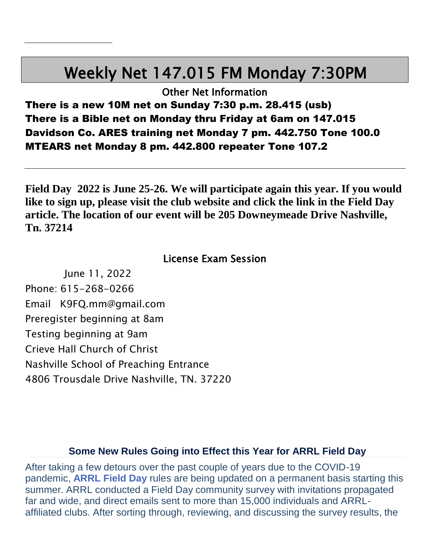# Weekly Net 147.015 FM Monday 7:30PM

Other Net Information

There is a new 10M net on Sunday 7:30 p.m. 28.415 (usb) There is a Bible net on Monday thru Friday at 6am on 147.015 Davidson Co. ARES training net Monday 7 pm. 442.750 Tone 100.0 MTEARS net Monday 8 pm. 442.800 repeater Tone 107.2

**Field Day 2022 is June 25-26. We will participate again this year. If you would like to sign up, please visit the club website and click the link in the Field Day article. The location of our event will be 205 Downeymeade Drive Nashville, Tn. 37214**

### License Exam Session

June 11, 2022 Phone: 615-268-0266 Email K9FQ.mm@gmail.com Preregister beginning at 8am Testing beginning at 9am Crieve Hall Church of Christ Nashville School of Preaching Entrance 4806 Trousdale Drive Nashville, TN. 37220

### **Some New Rules Going into Effect this Year for ARRL Field Day**

After taking a few detours over the past couple of years due to the COVID-19 pandemic, **[ARRL](http://www.arrl.org/field-day) Field Day** rules are being updated on a permanent basis starting this summer. ARRL conducted a Field Day community survey with invitations propagated far and wide, and direct emails sent to more than 15,000 individuals and ARRLaffiliated clubs. After sorting through, reviewing, and discussing the survey results, the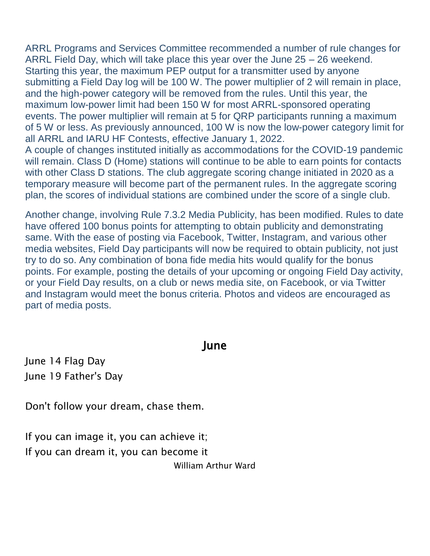ARRL Programs and Services Committee recommended a number of rule changes for ARRL Field Day, which will take place this year over the June 25 – 26 weekend. Starting this year, the maximum PEP output for a transmitter used by anyone submitting a Field Day log will be 100 W. The power multiplier of 2 will remain in place, and the high-power category will be removed from the rules. Until this year, the maximum low-power limit had been 150 W for most ARRL-sponsored operating events. The power multiplier will remain at 5 for QRP participants running a maximum of 5 W or less. As previously announced, 100 W is now the low-power category limit for all ARRL and IARU HF Contests, effective January 1, 2022.

A couple of changes instituted initially as accommodations for the COVID-19 pandemic will remain. Class D (Home) stations will continue to be able to earn points for contacts with other Class D stations. The club aggregate scoring change initiated in 2020 as a temporary measure will become part of the permanent rules. In the aggregate scoring plan, the scores of individual stations are combined under the score of a single club.

Another change, involving Rule 7.3.2 Media Publicity, has been modified. Rules to date have offered 100 bonus points for attempting to obtain publicity and demonstrating same. With the ease of posting via Facebook, Twitter, Instagram, and various other media websites, Field Day participants will now be required to obtain publicity, not just try to do so. Any combination of bona fide media hits would qualify for the bonus points. For example, posting the details of your upcoming or ongoing Field Day activity, or your Field Day results, on a club or news media site, on Facebook, or via Twitter and Instagram would meet the bonus criteria. Photos and videos are encouraged as part of media posts.

### June

June 14 Flag Day June 19 Father's Day

Don't follow your dream, chase them.

If you can image it, you can achieve it; If you can dream it, you can become it William Arthur Ward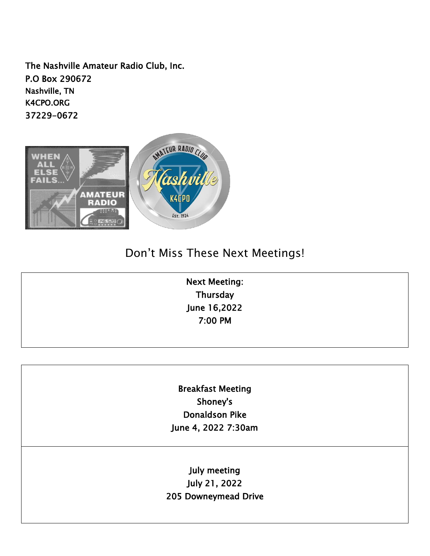The Nashville Amateur Radio Club, Inc. P.O Box 290672 Nashville, TN K4CPO.ORG 37229-0672



## Don't Miss These Next Meetings!

Next Meeting: **Thursday** June 16,2022 7:00 PM

Breakfast Meeting Shoney's Donaldson Pike June 4, 2022 7:30am

July meeting July 21, 2022 205 Downeymead Drive